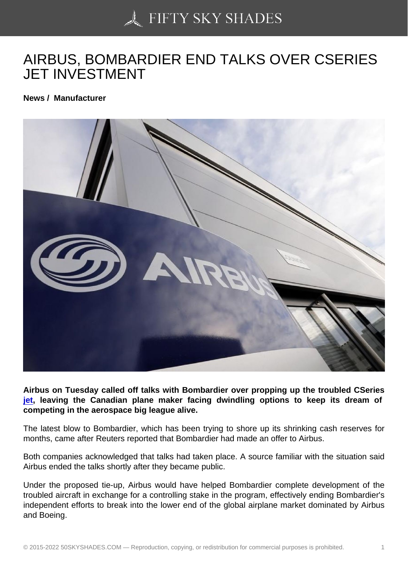## [AIRBUS, BOMBARDIE](https://50skyshades.com)R END TALKS OVER CSERIES JET INVESTMENT

News / Manufacturer

Airbus on Tuesday called off talks with Bombardier over propping up the troubled CSeries jet, leaving the Canadian plane maker facing dwindling options to keep its dream of competing in the aerospace big league alive.

The latest blow to Bombardier, which has been trying to shore up its shrinking cash reserves for [mo](http://www.wcarn.com/list/ztlist_2_1.html)nths, came after Reuters reported that Bombardier had made an offer to Airbus.

Both companies acknowledged that talks had taken place. A source familiar with the situation said Airbus ended the talks shortly after they became public.

Under the proposed tie-up, Airbus would have helped Bombardier complete development of the troubled aircraft in exchange for a controlling stake in the program, effectively ending Bombardier's independent efforts to break into the lower end of the global airplane market dominated by Airbus and Boeing.